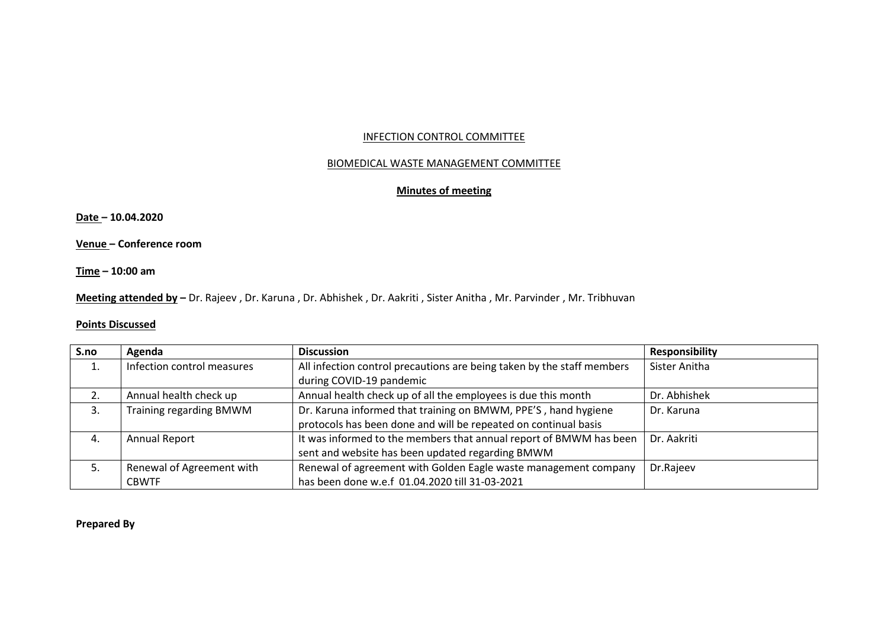## INFECTION CONTROL COMMITTEE

## BIOMEDICAL WASTE MANAGEMENT COMMITTEE

# **Minutes of meeting**

**Date – 10.04.2020**

**Venue – Conference room**

**Time – 10:00 am**

**Meeting attended by –** Dr. Rajeev , Dr. Karuna , Dr. Abhishek , Dr. Aakriti , Sister Anitha , Mr. Parvinder , Mr. Tribhuvan

# **Points Discussed**

| S.no | Agenda                     | <b>Discussion</b>                                                      | <b>Responsibility</b> |
|------|----------------------------|------------------------------------------------------------------------|-----------------------|
|      | Infection control measures | All infection control precautions are being taken by the staff members | Sister Anitha         |
|      |                            | during COVID-19 pandemic                                               |                       |
|      | Annual health check up     | Annual health check up of all the employees is due this month          | Dr. Abhishek          |
| 3.   | Training regarding BMWM    | Dr. Karuna informed that training on BMWM, PPE'S, hand hygiene         | Dr. Karuna            |
|      |                            | protocols has been done and will be repeated on continual basis        |                       |
| 4.   | Annual Report              | It was informed to the members that annual report of BMWM has been     | Dr. Aakriti           |
|      |                            | sent and website has been updated regarding BMWM                       |                       |
|      | Renewal of Agreement with  | Renewal of agreement with Golden Eagle waste management company        | Dr.Rajeev             |
|      | <b>CBWTF</b>               | has been done w.e.f 01.04.2020 till 31-03-2021                         |                       |

# **Prepared By**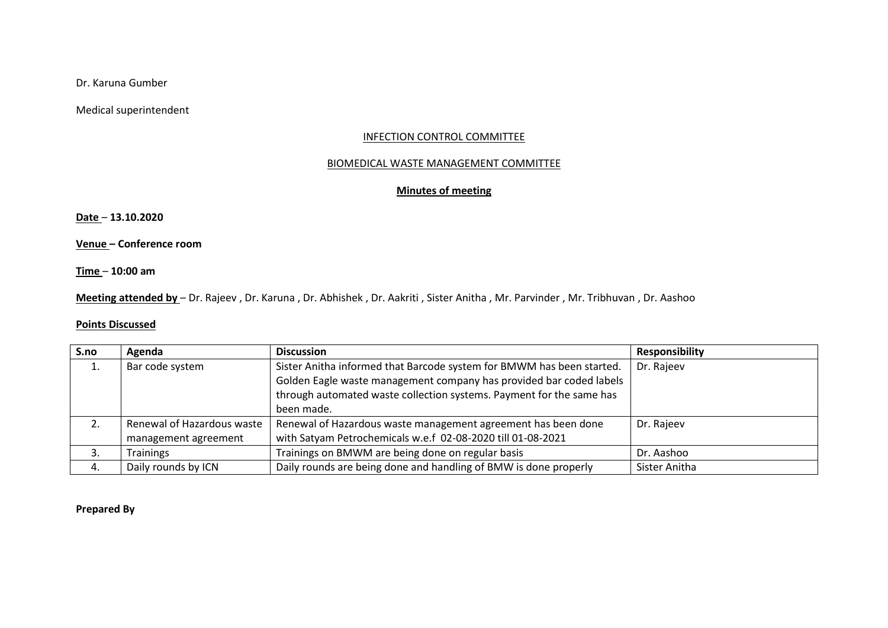Dr. Karuna Gumber

Medical superintendent

## INFECTION CONTROL COMMITTEE

## BIOMEDICAL WASTE MANAGEMENT COMMITTEE

# **Minutes of meeting**

**Date** – **13.10.2020**

**Venue – Conference room**

**Time** – **10:00 am**

**Meeting attended by** – Dr. Rajeev , Dr. Karuna , Dr. Abhishek , Dr. Aakriti , Sister Anitha , Mr. Parvinder , Mr. Tribhuvan , Dr. Aashoo

# **Points Discussed**

| S.no | Agenda                     | <b>Discussion</b>                                                     | <b>Responsibility</b> |
|------|----------------------------|-----------------------------------------------------------------------|-----------------------|
| ⊥.   | Bar code system            | Sister Anitha informed that Barcode system for BMWM has been started. | Dr. Rajeev            |
|      |                            | Golden Eagle waste management company has provided bar coded labels   |                       |
|      |                            | through automated waste collection systems. Payment for the same has  |                       |
|      |                            | been made.                                                            |                       |
| 2.   | Renewal of Hazardous waste | Renewal of Hazardous waste management agreement has been done         | Dr. Rajeev            |
|      | management agreement       | with Satyam Petrochemicals w.e.f 02-08-2020 till 01-08-2021           |                       |
| 3.   | <b>Trainings</b>           | Trainings on BMWM are being done on regular basis                     | Dr. Aashoo            |
| 4.   | Daily rounds by ICN        | Daily rounds are being done and handling of BMW is done properly      | Sister Anitha         |

**Prepared By**